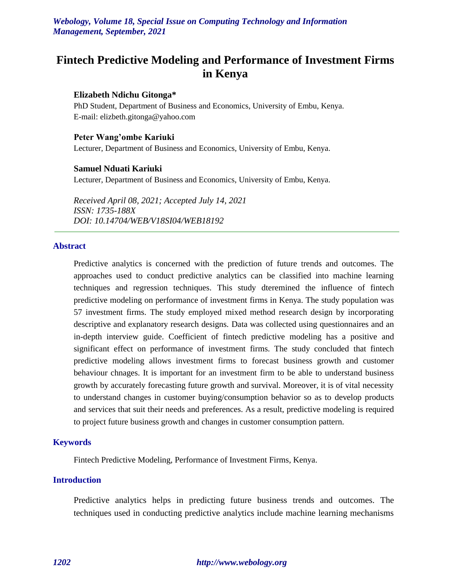# **Fintech Predictive Modeling and Performance of Investment Firms in Kenya**

#### **Elizabeth Ndichu Gitonga\***

PhD Student, Department of Business and Economics, University of Embu, Kenya. E-mail: elizbeth.gitonga@yahoo.com

#### **Peter Wang'ombe Kariuki**

Lecturer, Department of Business and Economics, University of Embu, Kenya.

#### **Samuel Nduati Kariuki**

Lecturer, Department of Business and Economics, University of Embu, Kenya.

*Received April 08, 2021; Accepted July 14, 2021 ISSN: 1735-188X DOI: 10.14704/WEB/V18SI04/WEB18192*

#### **Abstract**

Predictive analytics is concerned with the prediction of future trends and outcomes. The approaches used to conduct predictive analytics can be classified into machine learning techniques and regression techniques. This study dteremined the influence of fintech predictive modeling on performance of investment firms in Kenya. The study population was 57 investment firms. The study employed mixed method research design by incorporating descriptive and explanatory research designs. Data was collected using questionnaires and an in-depth interview guide. Coefficient of fintech predictive modeling has a positive and significant effect on performance of investment firms. The study concluded that fintech predictive modeling allows investment firms to forecast business growth and customer behaviour chnages. It is important for an investment firm to be able to understand business growth by accurately forecasting future growth and survival. Moreover, it is of vital necessity to understand changes in customer buying/consumption behavior so as to develop products and services that suit their needs and preferences. As a result, predictive modeling is required to project future business growth and changes in customer consumption pattern.

#### **Keywords**

Fintech Predictive Modeling, Performance of Investment Firms, Kenya.

# **Introduction**

Predictive analytics helps in predicting future business trends and outcomes. The techniques used in conducting predictive analytics include machine learning mechanisms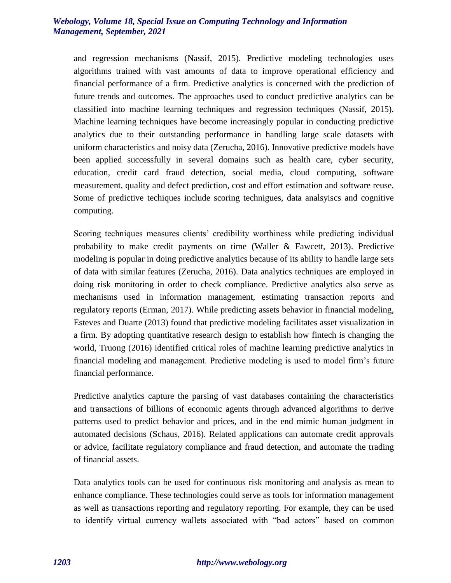and regression mechanisms (Nassif, 2015). Predictive modeling technologies uses algorithms trained with vast amounts of data to improve operational efficiency and financial performance of a firm. Predictive analytics is concerned with the prediction of future trends and outcomes. The approaches used to conduct predictive analytics can be classified into machine learning techniques and regression techniques (Nassif, 2015). Machine learning techniques have become increasingly popular in conducting predictive analytics due to their outstanding performance in handling large scale datasets with uniform characteristics and noisy data (Zerucha, 2016). Innovative predictive models have been applied successfully in several domains such as health care, cyber security, education, credit card fraud detection, social media, cloud computing, software measurement, quality and defect prediction, cost and effort estimation and software reuse. Some of predictive techiques include scoring technigues, data analsyiscs and cognitive computing.

Scoring techniques measures clients' credibility worthiness while predicting individual probability to make credit payments on time (Waller & Fawcett, 2013). Predictive modeling is popular in doing predictive analytics because of its ability to handle large sets of data with similar features (Zerucha, 2016). Data analytics techniques are employed in doing risk monitoring in order to check compliance. Predictive analytics also serve as mechanisms used in information management, estimating transaction reports and regulatory reports (Erman, 2017). While predicting assets behavior in financial modeling, Esteves and Duarte (2013) found that predictive modeling facilitates asset visualization in a firm. By adopting quantitative research design to establish how fintech is changing the world, Truong (2016) identified critical roles of machine learning predictive analytics in financial modeling and management. Predictive modeling is used to model firm's future financial performance.

Predictive analytics capture the parsing of vast databases containing the characteristics and transactions of billions of economic agents through advanced algorithms to derive patterns used to predict behavior and prices, and in the end mimic human judgment in automated decisions (Schaus, 2016). Related applications can automate credit approvals or advice, facilitate regulatory compliance and fraud detection, and automate the trading of financial assets.

Data analytics tools can be used for continuous risk monitoring and analysis as mean to enhance compliance. These technologies could serve as tools for information management as well as transactions reporting and regulatory reporting. For example, they can be used to identify virtual currency wallets associated with "bad actors" based on common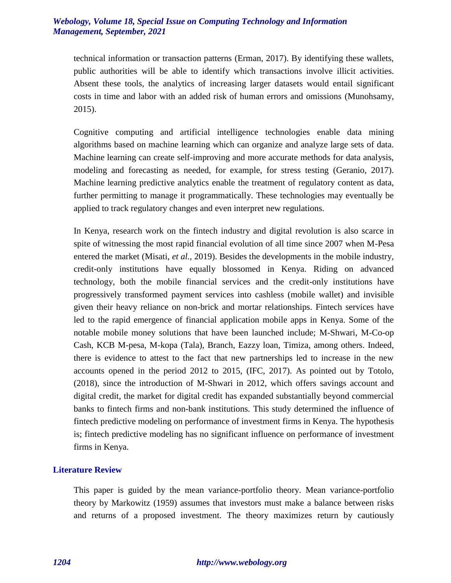technical information or transaction patterns (Erman, 2017). By identifying these wallets, public authorities will be able to identify which transactions involve illicit activities. Absent these tools, the analytics of increasing larger datasets would entail significant costs in time and labor with an added risk of human errors and omissions (Munohsamy, 2015).

Cognitive computing and artificial intelligence technologies enable data mining algorithms based on machine learning which can organize and analyze large sets of data. Machine learning can create self-improving and more accurate methods for data analysis, modeling and forecasting as needed, for example, for stress testing (Geranio, 2017). Machine learning predictive analytics enable the treatment of regulatory content as data, further permitting to manage it programmatically. These technologies may eventually be applied to track regulatory changes and even interpret new regulations.

In Kenya, research work on the fintech industry and digital revolution is also scarce in spite of witnessing the most rapid financial evolution of all time since 2007 when M-Pesa entered the market (Misati, *et al.,* 2019). Besides the developments in the mobile industry, credit-only institutions have equally blossomed in Kenya. Riding on advanced technology, both the mobile financial services and the credit-only institutions have progressively transformed payment services into cashless (mobile wallet) and invisible given their heavy reliance on non-brick and mortar relationships. Fintech services have led to the rapid emergence of financial application mobile apps in Kenya. Some of the notable mobile money solutions that have been launched include; M-Shwari, M-Co-op Cash, KCB M-pesa, M-kopa (Tala), Branch, Eazzy loan, Timiza, among others. Indeed, there is evidence to attest to the fact that new partnerships led to increase in the new accounts opened in the period 2012 to 2015, (IFC, 2017). As pointed out by Totolo, (2018), since the introduction of M-Shwari in 2012, which offers savings account and digital credit, the market for digital credit has expanded substantially beyond commercial banks to fintech firms and non-bank institutions. This study determined the influence of fintech predictive modeling on performance of investment firms in Kenya. The hypothesis is; fintech predictive modeling has no significant influence on performance of investment firms in Kenya.

# **Literature Review**

This paper is guided by the mean variance-portfolio theory. Mean variance-portfolio theory by Markowitz (1959) assumes that investors must make a balance between risks and returns of a proposed investment. The theory maximizes return by cautiously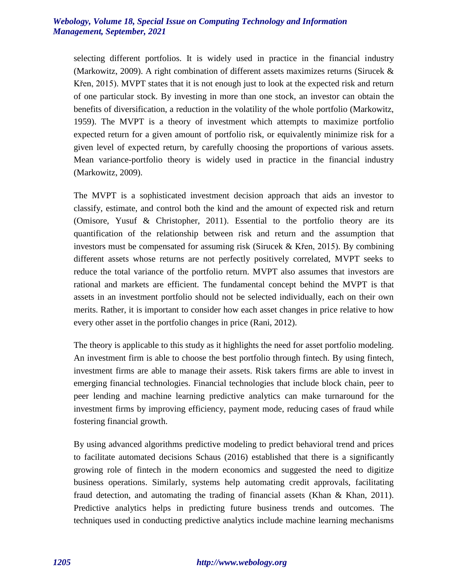selecting different portfolios. It is widely used in practice in the financial industry (Markowitz, 2009). A right combination of different assets maximizes returns (Sirucek & Křen, 2015). MVPT states that it is not enough just to look at the expected risk and return of one particular stock. By investing in more than one stock, an investor can obtain the benefits of diversification, a reduction in the volatility of the whole portfolio (Markowitz, 1959). The MVPT is a theory of investment which attempts to maximize portfolio expected return for a given amount of portfolio risk, or equivalently minimize risk for a given level of expected return, by carefully choosing the proportions of various assets. Mean variance-portfolio theory is widely used in practice in the financial industry (Markowitz, 2009).

The MVPT is a sophisticated investment decision approach that aids an investor to classify, estimate, and control both the kind and the amount of expected risk and return (Omisore, Yusuf & Christopher, 2011). Essential to the portfolio theory are its quantification of the relationship between risk and return and the assumption that investors must be compensated for assuming risk (Sirucek & Křen, 2015). By combining different assets whose returns are not perfectly positively correlated, MVPT seeks to reduce the total variance of the portfolio return. MVPT also assumes that investors are rational and markets are efficient. The fundamental concept behind the MVPT is that assets in an investment portfolio should not be selected individually, each on their own merits. Rather, it is important to consider how each asset changes in price relative to how every other asset in the portfolio changes in price (Rani, 2012).

The theory is applicable to this study as it highlights the need for asset portfolio modeling. An investment firm is able to choose the best portfolio through fintech. By using fintech, investment firms are able to manage their assets. Risk takers firms are able to invest in emerging financial technologies. Financial technologies that include block chain, peer to peer lending and machine learning predictive analytics can make turnaround for the investment firms by improving efficiency, payment mode, reducing cases of fraud while fostering financial growth.

By using advanced algorithms predictive modeling to predict behavioral trend and prices to facilitate automated decisions Schaus (2016) established that there is a significantly growing role of fintech in the modern economics and suggested the need to digitize business operations. Similarly, systems help automating credit approvals, facilitating fraud detection, and automating the trading of financial assets (Khan & Khan, 2011). Predictive analytics helps in predicting future business trends and outcomes. The techniques used in conducting predictive analytics include machine learning mechanisms

# *1205 http://www.webology.org*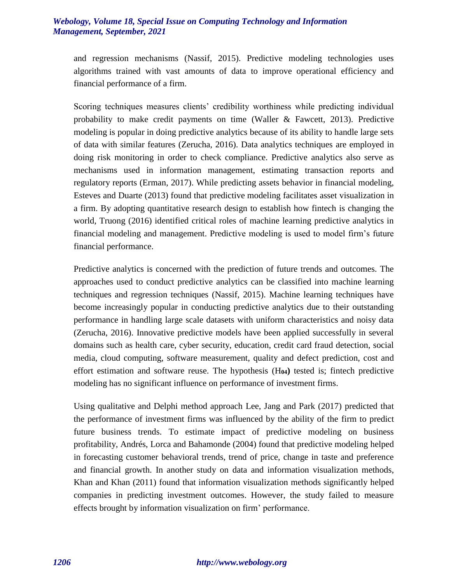and regression mechanisms (Nassif, 2015). Predictive modeling technologies uses algorithms trained with vast amounts of data to improve operational efficiency and financial performance of a firm.

Scoring techniques measures clients' credibility worthiness while predicting individual probability to make credit payments on time (Waller & Fawcett, 2013). Predictive modeling is popular in doing predictive analytics because of its ability to handle large sets of data with similar features (Zerucha, 2016). Data analytics techniques are employed in doing risk monitoring in order to check compliance. Predictive analytics also serve as mechanisms used in information management, estimating transaction reports and regulatory reports (Erman, 2017). While predicting assets behavior in financial modeling, Esteves and Duarte (2013) found that predictive modeling facilitates asset visualization in a firm. By adopting quantitative research design to establish how fintech is changing the world, Truong (2016) identified critical roles of machine learning predictive analytics in financial modeling and management. Predictive modeling is used to model firm's future financial performance.

Predictive analytics is concerned with the prediction of future trends and outcomes. The approaches used to conduct predictive analytics can be classified into machine learning techniques and regression techniques (Nassif, 2015). Machine learning techniques have become increasingly popular in conducting predictive analytics due to their outstanding performance in handling large scale datasets with uniform characteristics and noisy data (Zerucha, 2016). Innovative predictive models have been applied successfully in several domains such as health care, cyber security, education, credit card fraud detection, social media, cloud computing, software measurement, quality and defect prediction, cost and effort estimation and software reuse. The hypothesis (H**04)** tested is; fintech predictive modeling has no significant influence on performance of investment firms.

Using qualitative and Delphi method approach Lee, Jang and Park (2017) predicted that the performance of investment firms was influenced by the ability of the firm to predict future business trends. To estimate impact of predictive modeling on business profitability, Andrés, Lorca and Bahamonde (2004) found that predictive modeling helped in forecasting customer behavioral trends, trend of price, change in taste and preference and financial growth. In another study on data and information visualization methods, Khan and Khan (2011) found that information visualization methods significantly helped companies in predicting investment outcomes. However, the study failed to measure effects brought by information visualization on firm' performance.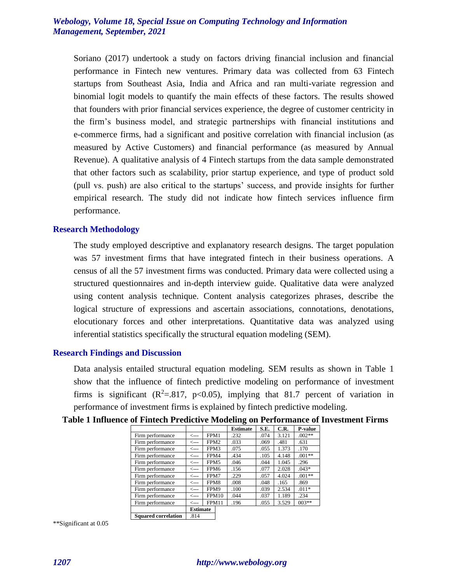Soriano (2017) undertook a study on factors driving financial inclusion and financial performance in Fintech new ventures. Primary data was collected from 63 Fintech startups from Southeast Asia, India and Africa and ran multi-variate regression and binomial logit models to quantify the main effects of these factors. The results showed that founders with prior financial services experience, the degree of customer centricity in the firm's business model, and strategic partnerships with financial institutions and e-commerce firms, had a significant and positive correlation with financial inclusion (as measured by Active Customers) and financial performance (as measured by Annual Revenue). A qualitative analysis of 4 Fintech startups from the data sample demonstrated that other factors such as scalability, prior startup experience, and type of product sold (pull vs. push) are also critical to the startups' success, and provide insights for further empirical research. The study did not indicate how fintech services influence firm performance.

#### **Research Methodology**

The study employed descriptive and explanatory research designs. The target population was 57 investment firms that have integrated fintech in their business operations. A census of all the 57 investment firms was conducted. Primary data were collected using a structured questionnaires and in-depth interview guide. Qualitative data were analyzed using content analysis technique. Content analysis categorizes phrases, describe the logical structure of expressions and ascertain associations, connotations, denotations, elocutionary forces and other interpretations. Quantitative data was analyzed using inferential statistics specifically the structural equation modeling (SEM).

#### **Research Findings and Discussion**

Data analysis entailed structural equation modeling. SEM results as shown in Table 1 show that the influence of fintech predictive modeling on performance of investment firms is significant  $(R^2 = .817, p < 0.05)$ , implying that 81.7 percent of variation in performance of investment firms is explained by fintech predictive modeling.

|                            |                 |                  |  | <b>Estimate</b> | S.E. | C.R.  | P-value  |
|----------------------------|-----------------|------------------|--|-----------------|------|-------|----------|
| Firm performance           | $\leftarrow$    | FPM1             |  | .232            | .074 | 3.121 | $.002**$ |
| Firm performance           | $\leftarrow$    | FPM <sub>2</sub> |  | .033            | .069 | .481  | .631     |
| Firm performance           | <---            | FPM3             |  | .075            | .055 | 1.373 | .170     |
| Firm performance           | <---            | FPM4             |  | .434            | .105 | 4.148 | $.001**$ |
| Firm performance           | <---            | FPM5             |  | .046            | .044 | 1.045 | .296     |
| Firm performance           | $\leftarrow$ -- | FPM <sub>6</sub> |  | .156            | .077 | 2.028 | $.043*$  |
| Firm performance           | <---            | FPM7             |  | .229            | .057 | 4.024 | $.001**$ |
| Firm performance           | <---            | FPM8             |  | .008            | .048 | .165  | .869     |
| Firm performance           | <---            | FPM9             |  | .100            | .039 | 2.534 | $.011*$  |
| Firm performance           | <---            | FPM10            |  | .044            | .037 | 1.189 | .234     |
| Firm performance           | <---            | FPM11            |  | .196            | .055 | 3.529 | $003**$  |
|                            | <b>Estimate</b> |                  |  |                 |      |       |          |
| <b>Squared correlation</b> | .814            |                  |  |                 |      |       |          |

**Table 1 Influence of Fintech Predictive Modeling on Performance of Investment Firms**

\*\*Significant at 0.05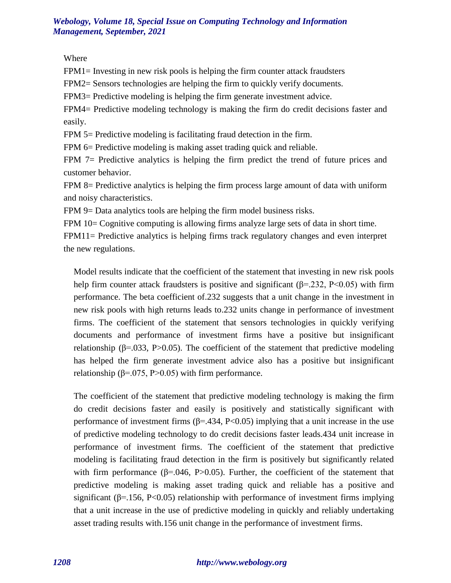Where

FPM1= Investing in new risk pools is helping the firm counter attack fraudsters

FPM2= Sensors technologies are helping the firm to quickly verify documents.

FPM3= Predictive modeling is helping the firm generate investment advice.

FPM4= Predictive modeling technology is making the firm do credit decisions faster and easily.

FPM 5= Predictive modeling is facilitating fraud detection in the firm.

FPM 6= Predictive modeling is making asset trading quick and reliable.

FPM 7= Predictive analytics is helping the firm predict the trend of future prices and customer behavior.

FPM 8= Predictive analytics is helping the firm process large amount of data with uniform and noisy characteristics.

FPM 9= Data analytics tools are helping the firm model business risks.

FPM 10= Cognitive computing is allowing firms analyze large sets of data in short time.

FPM11= Predictive analytics is helping firms track regulatory changes and even interpret the new regulations.

Model results indicate that the coefficient of the statement that investing in new risk pools help firm counter attack fraudsters is positive and significant  $(\beta = .232, \text{ P} < 0.05)$  with firm performance. The beta coefficient of.232 suggests that a unit change in the investment in new risk pools with high returns leads to.232 units change in performance of investment firms. The coefficient of the statement that sensors technologies in quickly verifying documents and performance of investment firms have a positive but insignificant relationship (β=.033, P>0.05). The coefficient of the statement that predictive modeling has helped the firm generate investment advice also has a positive but insignificant relationship ( $β = .075$ ,  $P > 0.05$ ) with firm performance.

The coefficient of the statement that predictive modeling technology is making the firm do credit decisions faster and easily is positively and statistically significant with performance of investment firms ( $\beta$ =.434, P<0.05) implying that a unit increase in the use of predictive modeling technology to do credit decisions faster leads.434 unit increase in performance of investment firms. The coefficient of the statement that predictive modeling is facilitating fraud detection in the firm is positively but significantly related with firm performance ( $\beta$ =.046, P>0.05). Further, the coefficient of the statement that predictive modeling is making asset trading quick and reliable has a positive and significant ( $\beta$ =.156, P<0.05) relationship with performance of investment firms implying that a unit increase in the use of predictive modeling in quickly and reliably undertaking asset trading results with.156 unit change in the performance of investment firms.

#### *1208 http://www.webology.org*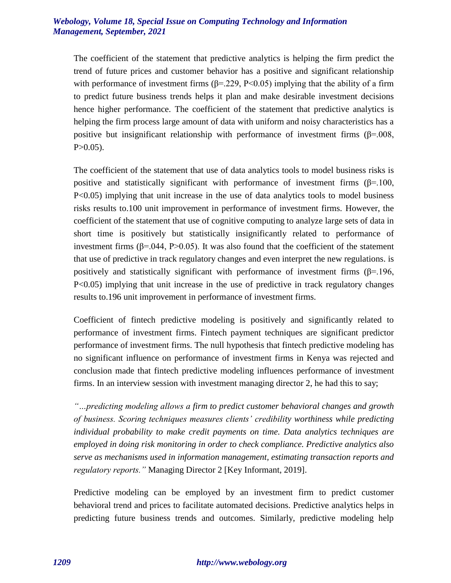The coefficient of the statement that predictive analytics is helping the firm predict the trend of future prices and customer behavior has a positive and significant relationship with performance of investment firms  $(\beta = .229, P < 0.05)$  implying that the ability of a firm to predict future business trends helps it plan and make desirable investment decisions hence higher performance. The coefficient of the statement that predictive analytics is helping the firm process large amount of data with uniform and noisy characteristics has a positive but insignificant relationship with performance of investment firms  $(\beta = .008, )$  $P > 0.05$ ).

The coefficient of the statement that use of data analytics tools to model business risks is positive and statistically significant with performance of investment firms  $(\beta = 100,$ P<0.05) implying that unit increase in the use of data analytics tools to model business risks results to.100 unit improvement in performance of investment firms. However, the coefficient of the statement that use of cognitive computing to analyze large sets of data in short time is positively but statistically insignificantly related to performance of investment firms ( $β=0.044$ ,  $P>0.05$ ). It was also found that the coefficient of the statement that use of predictive in track regulatory changes and even interpret the new regulations. is positively and statistically significant with performance of investment firms  $(\beta = 196,$ P<0.05) implying that unit increase in the use of predictive in track regulatory changes results to.196 unit improvement in performance of investment firms.

Coefficient of fintech predictive modeling is positively and significantly related to performance of investment firms. Fintech payment techniques are significant predictor performance of investment firms. The null hypothesis that fintech predictive modeling has no significant influence on performance of investment firms in Kenya was rejected and conclusion made that fintech predictive modeling influences performance of investment firms. In an interview session with investment managing director 2, he had this to say;

*"…predicting modeling allows a firm to predict customer behavioral changes and growth of business. Scoring techniques measures clients' credibility worthiness while predicting individual probability to make credit payments on time. Data analytics techniques are employed in doing risk monitoring in order to check compliance. Predictive analytics also serve as mechanisms used in information management, estimating transaction reports and regulatory reports."* Managing Director 2 [Key Informant, 2019].

Predictive modeling can be employed by an investment firm to predict customer behavioral trend and prices to facilitate automated decisions. Predictive analytics helps in predicting future business trends and outcomes. Similarly, predictive modeling help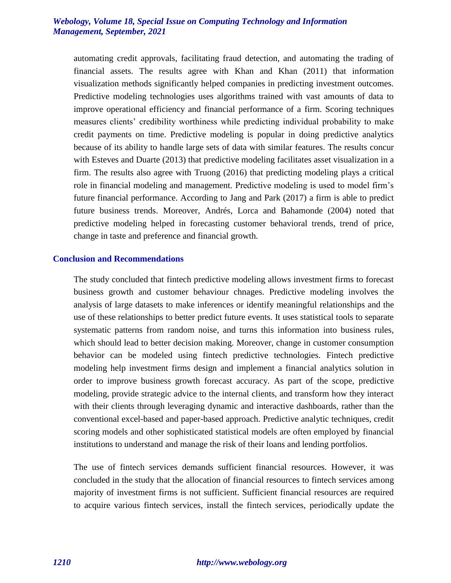automating credit approvals, facilitating fraud detection, and automating the trading of financial assets. The results agree with Khan and Khan (2011) that information visualization methods significantly helped companies in predicting investment outcomes. Predictive modeling technologies uses algorithms trained with vast amounts of data to improve operational efficiency and financial performance of a firm. Scoring techniques measures clients' credibility worthiness while predicting individual probability to make credit payments on time. Predictive modeling is popular in doing predictive analytics because of its ability to handle large sets of data with similar features. The results concur with Esteves and Duarte (2013) that predictive modeling facilitates asset visualization in a firm. The results also agree with Truong (2016) that predicting modeling plays a critical role in financial modeling and management. Predictive modeling is used to model firm's future financial performance. According to Jang and Park (2017) a firm is able to predict future business trends. Moreover, Andrés, Lorca and Bahamonde (2004) noted that predictive modeling helped in forecasting customer behavioral trends, trend of price, change in taste and preference and financial growth.

#### **Conclusion and Recommendations**

The study concluded that fintech predictive modeling allows investment firms to forecast business growth and customer behaviour chnages. Predictive modeling involves the analysis of large datasets to make inferences or identify meaningful relationships and the use of these relationships to better predict future events. It uses statistical tools to separate systematic patterns from random noise, and turns this information into business rules, which should lead to better decision making. Moreover, change in customer consumption behavior can be modeled using fintech predictive technologies. Fintech predictive modeling help investment firms design and implement a financial analytics solution in order to improve business growth forecast accuracy. As part of the scope, predictive modeling, provide strategic advice to the internal clients, and transform how they interact with their clients through leveraging dynamic and interactive dashboards, rather than the conventional excel-based and paper-based approach. Predictive analytic techniques, credit scoring models and other sophisticated statistical models are often employed by financial institutions to understand and manage the risk of their loans and lending portfolios.

The use of fintech services demands sufficient financial resources. However, it was concluded in the study that the allocation of financial resources to fintech services among majority of investment firms is not sufficient. Sufficient financial resources are required to acquire various fintech services, install the fintech services, periodically update the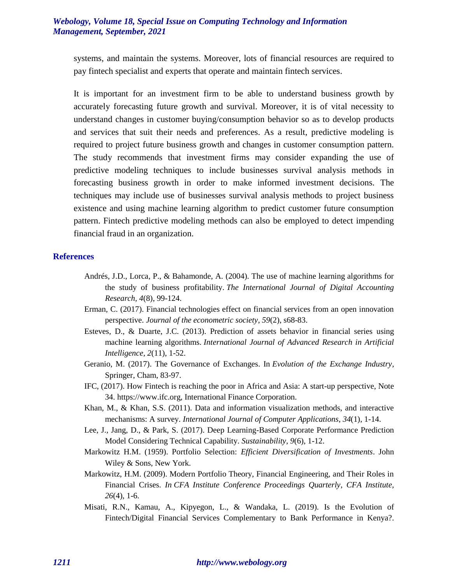systems, and maintain the systems. Moreover, lots of financial resources are required to pay fintech specialist and experts that operate and maintain fintech services.

It is important for an investment firm to be able to understand business growth by accurately forecasting future growth and survival. Moreover, it is of vital necessity to understand changes in customer buying/consumption behavior so as to develop products and services that suit their needs and preferences. As a result, predictive modeling is required to project future business growth and changes in customer consumption pattern. The study recommends that investment firms may consider expanding the use of predictive modeling techniques to include businesses survival analysis methods in forecasting business growth in order to make informed investment decisions. The techniques may include use of businesses survival analysis methods to project business existence and using machine learning algorithm to predict customer future consumption pattern. Fintech predictive modeling methods can also be employed to detect impending financial fraud in an organization.

#### **References**

- Andrés, J.D., Lorca, P., & Bahamonde, A. (2004). The use of machine learning algorithms for the study of business profitability. *The International Journal of Digital Accounting Research, 4*(8), 99-124.
- Erman, C. (2017). Financial technologies effect on financial services from an open innovation perspective. *Journal of the econometric society*, *59*(2), s68-83.
- Esteves, D., & Duarte, J.C. (2013). Prediction of assets behavior in financial series using machine learning algorithms. *International Journal of Advanced Research in Artificial Intelligence*, *2*(11), 1-52.
- Geranio, M. (2017). The Governance of Exchanges. In *Evolution of the Exchange Industry*, Springer, Cham, 83-97.
- IFC, (2017). How Fintech is reaching the poor in Africa and Asia: A start-up perspective, Note 34. https://www.ifc.org, International Finance Corporation.
- Khan, M., & Khan, S.S. (2011). Data and information visualization methods, and interactive mechanisms: A survey. *International Journal of Computer Applications*, *34*(1), 1-14.
- Lee, J., Jang, D., & Park, S. (2017). Deep Learning-Based Corporate Performance Prediction Model Considering Technical Capability. *Sustainability*, *9*(6), 1-12.
- Markowitz H.M. (1959). Portfolio Selection: *Efficient Diversification of Investments*. John Wiley & Sons, New York.
- Markowitz, H.M. (2009). Modern Portfolio Theory, Financial Engineering, and Their Roles in Financial Crises. *In CFA Institute Conference Proceedings Quarterly*, *CFA Institute, 26*(4), 1-6.
- Misati, R.N., Kamau, A., Kipyegon, L., & Wandaka, L. (2019). Is the Evolution of Fintech/Digital Financial Services Complementary to Bank Performance in Kenya?.

#### *1211 http://www.webology.org*